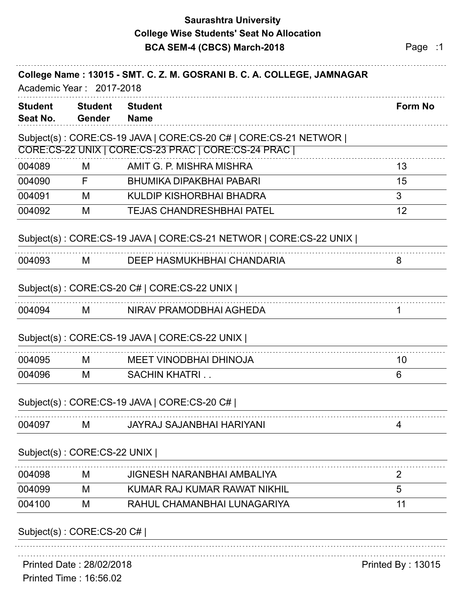## **Saurashtra University BCA SEM-4 (CBCS) March-2018 Page :1 College Wise Students' Seat No Allocation**

| <b>Student</b><br>Seat No. | <b>Student</b><br>Gender    | <b>Student</b><br><b>Name</b>                                     | <b>Form No</b>           |
|----------------------------|-----------------------------|-------------------------------------------------------------------|--------------------------|
|                            |                             | Subject(s): CORE:CS-19 JAVA   CORE:CS-20 C#   CORE:CS-21 NETWOR   |                          |
|                            |                             | CORE:CS-22 UNIX   CORE:CS-23 PRAC   CORE:CS-24 PRAC               |                          |
| 004089                     | M                           | AMIT G. P. MISHRA MISHRA                                          | 13                       |
| 004090                     | F.                          | <b>BHUMIKA DIPAKBHAI PABARI</b>                                   | 15                       |
| 004091                     | M                           | KULDIP KISHORBHAI BHADRA                                          | 3                        |
| 004092                     | M                           | <b>TEJAS CHANDRESHBHAI PATEL</b>                                  | 12                       |
|                            |                             | Subject(s): CORE:CS-19 JAVA   CORE:CS-21 NETWOR   CORE:CS-22 UNIX |                          |
| 004093                     | M                           | DEEP HASMUKHBHAI CHANDARIA                                        | 8                        |
|                            |                             | Subject(s): CORE:CS-20 C#   CORE:CS-22 UNIX                       |                          |
| 004094                     | M                           | NIRAV PRAMODBHAI AGHEDA                                           |                          |
|                            |                             | Subject(s): CORE:CS-19 JAVA   CORE:CS-22 UNIX                     |                          |
| 004095                     | M                           | <b>MEET VINODBHAI DHINOJA</b>                                     | 10                       |
| 004096                     | M                           | <b>SACHIN KHATRI</b>                                              | 6                        |
|                            |                             | Subject(s): CORE:CS-19 JAVA   CORE:CS-20 C#                       |                          |
| 004097                     | M                           | <b>JAYRAJ SAJANBHAI HARIYANI</b>                                  | 4                        |
|                            | Subject(s): CORE:CS-22 UNIX |                                                                   |                          |
| 004098                     | M                           | <b>JIGNESH NARANBHAI AMBALIYA</b>                                 | 2                        |
| 004099                     | M                           | KUMAR RAJ KUMAR RAWAT NIKHIL                                      | 5                        |
| 004100                     | M                           | RAHUL CHAMANBHAI LUNAGARIYA                                       | 11                       |
|                            | Subject(s): CORE:CS-20 C#   |                                                                   |                          |
|                            |                             |                                                                   |                          |
|                            | Printed Date: 28/02/2018    |                                                                   | <b>Printed By: 13015</b> |

Printed Time : 16:56.02